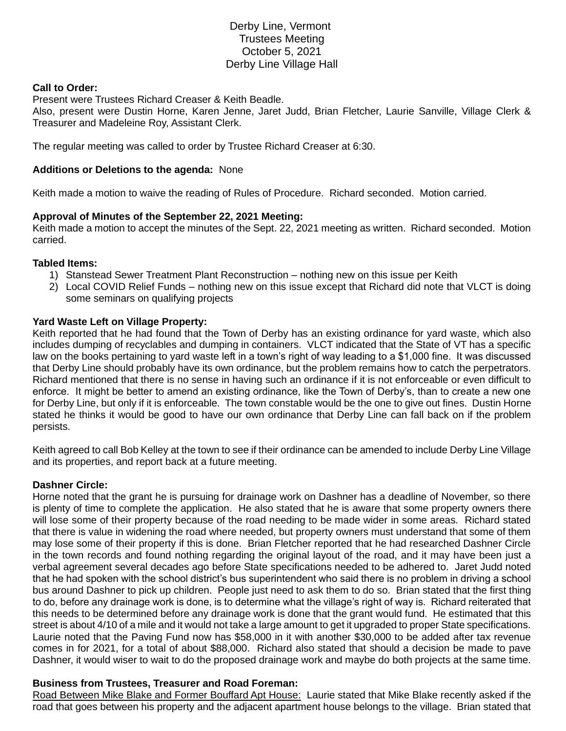# Derby Line, Vermont Trustees Meeting October 5, 2021 Derby Line Village Hall

### **Call to Order:**

Present were Trustees Richard Creaser & Keith Beadle.

Also, present were Dustin Horne, Karen Jenne, Jaret Judd, Brian Fletcher, Laurie Sanville, Village Clerk & Treasurer and Madeleine Roy, Assistant Clerk.

The regular meeting was called to order by Trustee Richard Creaser at 6:30.

### **Additions or Deletions to the agenda:** None

Keith made a motion to waive the reading of Rules of Procedure. Richard seconded. Motion carried.

### **Approval of Minutes of the September 22, 2021 Meeting:**

Keith made a motion to accept the minutes of the Sept. 22, 2021 meeting as written. Richard seconded. Motion carried.

#### **Tabled Items:**

- 1) Stanstead Sewer Treatment Plant Reconstruction nothing new on this issue per Keith
- 2) Local COVID Relief Funds nothing new on this issue except that Richard did note that VLCT is doing some seminars on qualifying projects

### **Yard Waste Left on Village Property:**

Keith reported that he had found that the Town of Derby has an existing ordinance for yard waste, which also includes dumping of recyclables and dumping in containers. VLCT indicated that the State of VT has a specific law on the books pertaining to yard waste left in a town's right of way leading to a \$1,000 fine. It was discussed that Derby Line should probably have its own ordinance, but the problem remains how to catch the perpetrators. Richard mentioned that there is no sense in having such an ordinance if it is not enforceable or even difficult to enforce. It might be better to amend an existing ordinance, like the Town of Derby's, than to create a new one for Derby Line, but only if it is enforceable. The town constable would be the one to give out fines. Dustin Horne stated he thinks it would be good to have our own ordinance that Derby Line can fall back on if the problem persists.

Keith agreed to call Bob Kelley at the town to see if their ordinance can be amended to include Derby Line Village and its properties, and report back at a future meeting.

## **Dashner Circle:**

Horne noted that the grant he is pursuing for drainage work on Dashner has a deadline of November, so there is plenty of time to complete the application. He also stated that he is aware that some property owners there will lose some of their property because of the road needing to be made wider in some areas. Richard stated that there is value in widening the road where needed, but property owners must understand that some of them may lose some of their property if this is done. Brian Fletcher reported that he had researched Dashner Circle in the town records and found nothing regarding the original layout of the road, and it may have been just a verbal agreement several decades ago before State specifications needed to be adhered to. Jaret Judd noted that he had spoken with the school district's bus superintendent who said there is no problem in driving a school bus around Dashner to pick up children. People just need to ask them to do so. Brian stated that the first thing to do, before any drainage work is done, is to determine what the village's right of way is. Richard reiterated that this needs to be determined before any drainage work is done that the grant would fund. He estimated that this street is about 4/10 of a mile and it would not take a large amount to get it upgraded to proper State specifications. Laurie noted that the Paving Fund now has \$58,000 in it with another \$30,000 to be added after tax revenue comes in for 2021, for a total of about \$88,000. Richard also stated that should a decision be made to pave Dashner, it would wiser to wait to do the proposed drainage work and maybe do both projects at the same time.

## **Business from Trustees, Treasurer and Road Foreman:**

Road Between Mike Blake and Former Bouffard Apt House: Laurie stated that Mike Blake recently asked if the road that goes between his property and the adjacent apartment house belongs to the village. Brian stated that